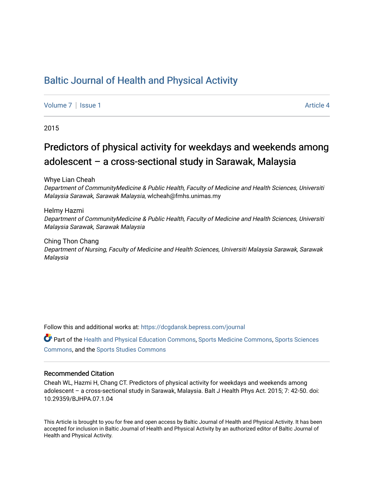# [Baltic Journal of Health and Physical Activity](https://dcgdansk.bepress.com/journal)

[Volume 7](https://dcgdansk.bepress.com/journal/vol7) | [Issue 1](https://dcgdansk.bepress.com/journal/vol7/iss1) Article 4

2015

# Predictors of physical activity for weekdays and weekends among adolescent – a cross-sectional study in Sarawak, Malaysia

Whye Lian Cheah

Department of CommunityMedicine & Public Health, Faculty of Medicine and Health Sciences, Universiti Malaysia Sarawak, Sarawak Malaysia, wlcheah@fmhs.unimas.my

Helmy Hazmi Department of CommunityMedicine & Public Health, Faculty of Medicine and Health Sciences, Universiti Malaysia Sarawak, Sarawak Malaysia

Ching Thon Chang Department of Nursing, Faculty of Medicine and Health Sciences, Universiti Malaysia Sarawak, Sarawak Malaysia

Follow this and additional works at: [https://dcgdansk.bepress.com/journal](https://dcgdansk.bepress.com/journal?utm_source=dcgdansk.bepress.com%2Fjournal%2Fvol7%2Fiss1%2F4&utm_medium=PDF&utm_campaign=PDFCoverPages)

Part of the [Health and Physical Education Commons](http://network.bepress.com/hgg/discipline/1327?utm_source=dcgdansk.bepress.com%2Fjournal%2Fvol7%2Fiss1%2F4&utm_medium=PDF&utm_campaign=PDFCoverPages), [Sports Medicine Commons,](http://network.bepress.com/hgg/discipline/1331?utm_source=dcgdansk.bepress.com%2Fjournal%2Fvol7%2Fiss1%2F4&utm_medium=PDF&utm_campaign=PDFCoverPages) [Sports Sciences](http://network.bepress.com/hgg/discipline/759?utm_source=dcgdansk.bepress.com%2Fjournal%2Fvol7%2Fiss1%2F4&utm_medium=PDF&utm_campaign=PDFCoverPages) [Commons](http://network.bepress.com/hgg/discipline/759?utm_source=dcgdansk.bepress.com%2Fjournal%2Fvol7%2Fiss1%2F4&utm_medium=PDF&utm_campaign=PDFCoverPages), and the [Sports Studies Commons](http://network.bepress.com/hgg/discipline/1198?utm_source=dcgdansk.bepress.com%2Fjournal%2Fvol7%2Fiss1%2F4&utm_medium=PDF&utm_campaign=PDFCoverPages) 

#### Recommended Citation

Cheah WL, Hazmi H, Chang CT. Predictors of physical activity for weekdays and weekends among adolescent – a cross-sectional study in Sarawak, Malaysia. Balt J Health Phys Act. 2015; 7: 42-50. doi: 10.29359/BJHPA.07.1.04

This Article is brought to you for free and open access by Baltic Journal of Health and Physical Activity. It has been accepted for inclusion in Baltic Journal of Health and Physical Activity by an authorized editor of Baltic Journal of Health and Physical Activity.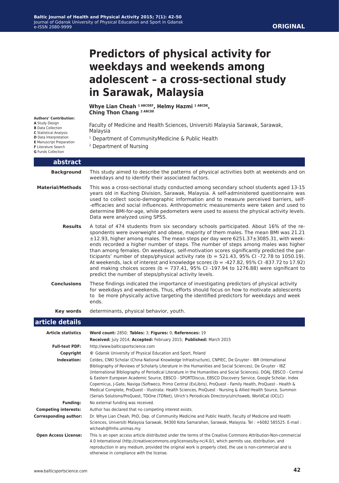# **Predictors of physical activity for weekdays and weekends among adolescent – a cross-sectional study in Sarawak, Malaysia**

**Whye Lian Cheah 1 ABCDEF, Helmy Hazmi 1 ABCDE, Ching Thon Chang 2 ABCDE**

Faculty of Medicine and Health Sciences, Universiti Malaysia Sarawak, Sarawak, Malaysia

- <sup>1</sup> Department of CommunityMedicine & Public Health
- 2 Department of Nursing

| <b>G</b> Funds Collection    |                                                                                                                                                                                                                                                                                                                                                                                                                                                                                                                                                                                                                                                                                                                                                                                                       |  |  |  |  |
|------------------------------|-------------------------------------------------------------------------------------------------------------------------------------------------------------------------------------------------------------------------------------------------------------------------------------------------------------------------------------------------------------------------------------------------------------------------------------------------------------------------------------------------------------------------------------------------------------------------------------------------------------------------------------------------------------------------------------------------------------------------------------------------------------------------------------------------------|--|--|--|--|
| abstract                     |                                                                                                                                                                                                                                                                                                                                                                                                                                                                                                                                                                                                                                                                                                                                                                                                       |  |  |  |  |
| <b>Background</b>            | This study aimed to describe the patterns of physical activities both at weekends and on<br>weekdays and to identify their associated factors.                                                                                                                                                                                                                                                                                                                                                                                                                                                                                                                                                                                                                                                        |  |  |  |  |
| <b>Material/Methods</b>      | This was a cross-sectional study conducted among secondary school students aged 13-15<br>years old in Kuching Division, Sarawak, Malaysia. A self-administered questionnaire was<br>used to collect socio-demographic information and to measure perceived barriers, self-<br>-efficacies and social influences. Anthropometric measurements were taken and used to<br>determine BMI-for-age, while pedometers were used to assess the physical activity levels.<br>Data were analyzed using SPSS.                                                                                                                                                                                                                                                                                                    |  |  |  |  |
| <b>Results</b>               | A total of 474 students from six secondary schools participated. About 16% of the re-<br>spondents were overweight and obese, majority of them males. The mean BMI was 21.21<br>±12.93, higher among males. The mean steps per day were 6251.37±3085.31, with week-<br>ends recorded a higher number of steps. The number of steps among males was higher<br>than among females. On weekdays, self-motivation scores significantly predicted the par-<br>ticipants' number of steps/physical activity rate (b = 521.43, 95% CI -72.78 to 1050.19).<br>At weekends, lack of interest and knowledge scores (b = -427.82, 95% CI -837.72 to 17.92)<br>and making choices scores ( $b = 737.41$ , 95% CI -197.94 to 1276.88) were significant to<br>predict the number of steps/physical activity levels. |  |  |  |  |
| <b>Conclusions</b>           | These findings indicated the importance of investigating predictors of physical activity<br>for weekdays and weekends. Thus, efforts should focus on how to motivate adolescents<br>to be more physically active targeting the identified predictors for weekdays and week<br>ends.                                                                                                                                                                                                                                                                                                                                                                                                                                                                                                                   |  |  |  |  |
| <b>Key words</b>             | determinants, physical behavior, youth.                                                                                                                                                                                                                                                                                                                                                                                                                                                                                                                                                                                                                                                                                                                                                               |  |  |  |  |
| article details              |                                                                                                                                                                                                                                                                                                                                                                                                                                                                                                                                                                                                                                                                                                                                                                                                       |  |  |  |  |
| <b>Article statistics</b>    | Word count: 2850; Tables: 3; Figures: 0; References: 19                                                                                                                                                                                                                                                                                                                                                                                                                                                                                                                                                                                                                                                                                                                                               |  |  |  |  |
|                              | Received: July 2014; Accepted: February 2015; Published: March 2015                                                                                                                                                                                                                                                                                                                                                                                                                                                                                                                                                                                                                                                                                                                                   |  |  |  |  |
| <b>Full-text PDF:</b>        | http://www.balticsportscience.com                                                                                                                                                                                                                                                                                                                                                                                                                                                                                                                                                                                                                                                                                                                                                                     |  |  |  |  |
| Copyright                    | © Gdansk University of Physical Education and Sport, Poland                                                                                                                                                                                                                                                                                                                                                                                                                                                                                                                                                                                                                                                                                                                                           |  |  |  |  |
| Indexation:                  | Celdes, CNKI Scholar (China National Knowledge Infrastructure), CNPIEC, De Gruyter - IBR (International<br>Bibliography of Reviews of Scholarly Literature in the Humanities and Social Sciences), De Gruyter - IBZ<br>(International Bibliography of Periodical Literature in the Humanities and Social Sciences), DOAJ, EBSCO - Central<br>& Eastern European Academic Source, EBSCO - SPORTDiscus, EBSCO Discovery Service, Google Scholar, Index<br>Copernicus, J-Gate, Naviga (Softweco, Primo Central (ExLibris), ProQuest - Family Health, ProQuest - Health &<br>Medical Complete, ProQuest - Illustrata: Health Sciences, ProQuest - Nursing & Allied Health Source, Summon<br>(Serials Solutions/ProQuest, TDOne (TDNet), Ulrich's Periodicals Directory/ulrichsweb, WorldCat (OCLC)        |  |  |  |  |
| <b>Funding:</b>              | No external funding was received.                                                                                                                                                                                                                                                                                                                                                                                                                                                                                                                                                                                                                                                                                                                                                                     |  |  |  |  |
| <b>Competing interests:</b>  | Author has declared that no competing interest exists.                                                                                                                                                                                                                                                                                                                                                                                                                                                                                                                                                                                                                                                                                                                                                |  |  |  |  |
| <b>Corresponding author:</b> | Dr. Whye Lian Cheah, PhD, Dep. of Community Medicine and Public Health, Faculty of Medicine and Health<br>Sciences Universiti Malaysia Sarawak 94300 Kota Samarahan Sarawak Malaysia Tel + +6082 585525 F-mail ·                                                                                                                                                                                                                                                                                                                                                                                                                                                                                                                                                                                      |  |  |  |  |

Sciences, Universiti Malaysia Sarawak, 94300 Kota Samarahan, Sarawak, Malaysia. Tel : +6082 585525. E-mail : wlcheah@fmhs.unimas.my.  **Open Access License:** This is an open access article distributed under the terms of the Creative Commons Attribution-Non-commercial

**Authors' Contribution:**

- **C** Statistical Analysis
- **D** Data Interpretation
- **E** Manuscript Preparation
- **F** Literature Search
-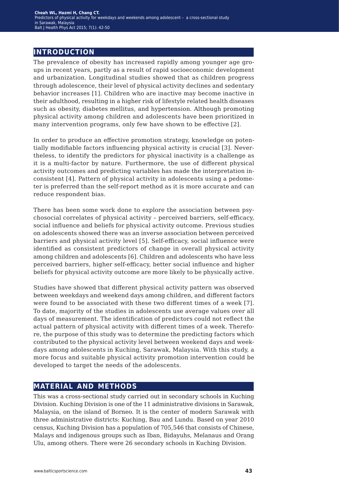### **introduction**

The prevalence of obesity has increased rapidly among younger age groups in recent years, partly as a result of rapid socioeconomic development and urbanization. Longitudinal studies showed that as children progress through adolescence, their level of physical activity declines and sedentary behavior increases [1]. Children who are inactive may become inactive in their adulthood, resulting in a higher risk of lifestyle related health diseases such as obesity, diabetes mellitus, and hypertension. Although promoting physical activity among children and adolescents have been prioritized in many intervention programs, only few have shown to be effective [2].

In order to produce an effective promotion strategy, knowledge on potentially modifiable factors influencing physical activity is crucial [3]. Nevertheless, to identify the predictors for physical inactivity is a challenge as it is a multi-factor by nature. Furthermore, the use of different physical activity outcomes and predicting variables has made the interpretation inconsistent [4]. Pattern of physical activity in adolescents using a pedometer is preferred than the self-report method as it is more accurate and can reduce respondent bias.

There has been some work done to explore the association between psychosocial correlates of physical activity – perceived barriers, self-efficacy, social influence and beliefs for physical activity outcome. Previous studies on adolescents showed there was an inverse association between perceived barriers and physical activity level [5]. Self-efficacy, social influence were identified as consistent predictors of change in overall physical activity among children and adolescents [6]. Children and adolescents who have less perceived barriers, higher self-efficacy, better social influence and higher beliefs for physical activity outcome are more likely to be physically active.

Studies have showed that different physical activity pattern was observed between weekdays and weekend days among children, and different factors were found to be associated with these two different times of a week [7]. To date, majority of the studies in adolescents use average values over all days of measurement. The identification of predictors could not reflect the actual pattern of physical activity with different times of a week. Therefore, the purpose of this study was to determine the predicting factors which contributed to the physical activity level between weekend days and weekdays among adolescents in Kuching, Sarawak, Malaysia. With this study, a more focus and suitable physical activity promotion intervention could be developed to target the needs of the adolescents.

## **material and methods**

This was a cross-sectional study carried out in secondary schools in Kuching Division. Kuching Division is one of the 11 administrative divisions in Sarawak, Malaysia, on the island of Borneo. It is the center of modern Sarawak with three administrative districts: Kuching, Bau and Lundu. Based on year 2010 census, Kuching Division has a population of 705,546 that consists of Chinese, Malays and indigenous groups such as Iban, Bidayuhs, Melanaus and Orang Ulu, among others. There were 26 secondary schools in Kuching Division.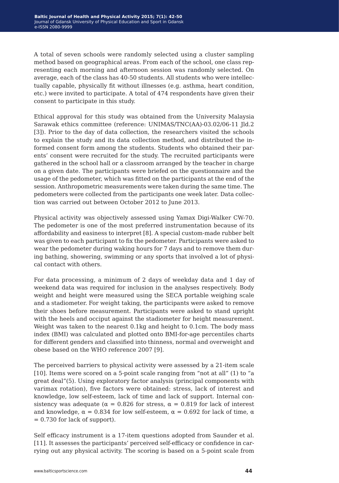A total of seven schools were randomly selected using a cluster sampling method based on geographical areas. From each of the school, one class representing each morning and afternoon session was randomly selected. On average, each of the class has 40-50 students. All students who were intellectually capable, physically fit without illnesses (e.g. asthma, heart condition, etc.) were invited to participate. A total of 474 respondents have given their consent to participate in this study.

Ethical approval for this study was obtained from the University Malaysia Sarawak ethics committee (reference: UNIMAS/TNC(AA)-03.02/06-11 Jld.2 [3]). Prior to the day of data collection, the researchers visited the schools to explain the study and its data collection method, and distributed the informed consent form among the students. Students who obtained their parents' consent were recruited for the study. The recruited participants were gathered in the school hall or a classroom arranged by the teacher in charge on a given date. The participants were briefed on the questionnaire and the usage of the pedometer, which was fitted on the participants at the end of the session. Anthropometric measurements were taken during the same time. The pedometers were collected from the participants one week later. Data collection was carried out between October 2012 to June 2013.

Physical activity was objectively assessed using Yamax Digi-Walker CW-70. The pedometer is one of the most preferred instrumentation because of its affordability and easiness to interpret [8]. A special custom-made rubber belt was given to each participant to fix the pedometer. Participants were asked to wear the pedometer during waking hours for 7 days and to remove them during bathing, showering, swimming or any sports that involved a lot of physical contact with others.

For data processing, a minimum of 2 days of weekday data and 1 day of weekend data was required for inclusion in the analyses respectively. Body weight and height were measured using the SECA portable weighing scale and a stadiometer. For weight taking, the participants were asked to remove their shoes before measurement. Participants were asked to stand upright with the heels and occiput against the stadiometer for height measurement. Weight was taken to the nearest 0.1kg and height to 0.1cm. The body mass index (BMI) was calculated and plotted onto BMI-for-age percentiles charts for different genders and classified into thinness, normal and overweight and obese based on the WHO reference 2007 [9].

The perceived barriers to physical activity were assessed by a 21-item scale [10]. Items were scored on a 5-point scale ranging from "not at all" (1) to "a great deal"(5). Using exploratory factor analysis (principal components with varimax rotation), five factors were obtained: stress, lack of interest and knowledge, low self-esteem, lack of time and lack of support. Internal consistency was adequate ( $\alpha = 0.826$  for stress,  $\alpha = 0.819$  for lack of interest and knowledge,  $\alpha = 0.834$  for low self-esteem,  $\alpha = 0.692$  for lack of time,  $\alpha$  $= 0.730$  for lack of support).

Self efficacy instrument is a 17-item questions adopted from Saunder et al. [11]. It assesses the participants' perceived self-efficacy or confidence in carrying out any physical activity. The scoring is based on a 5-point scale from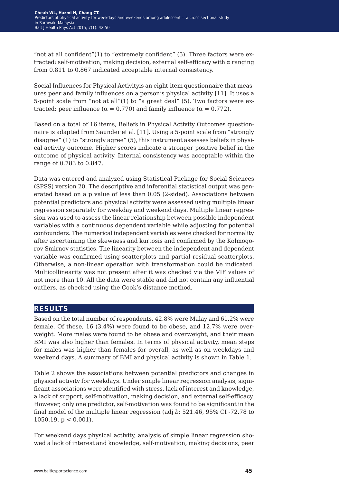"not at all confident"(1) to "extremely confident" (5). Three factors were extracted: self-motivation, making decision, external self-efficacy with α ranging from 0.811 to 0.867 indicated acceptable internal consistency.

Social Influences for Physical Activityis an eight-item questionnaire that measures peer and family influences on a person's physical activity [11]. It uses a 5-point scale from "not at all"(1) to "a great deal" (5). Two factors were extracted: peer influence ( $\alpha = 0.770$ ) and family influence ( $\alpha = 0.772$ ).

Based on a total of 16 items, Beliefs in Physical Activity Outcomes questionnaire is adapted from Saunder et al. [11]. Using a 5-point scale from "strongly disagree" (1) to "strongly agree" (5), this instrument assesses beliefs in physical activity outcome. Higher scores indicate a stronger positive belief in the outcome of physical activity. Internal consistency was acceptable within the range of 0.783 to 0.847.

Data was entered and analyzed using Statistical Package for Social Sciences (SPSS) version 20. The descriptive and inferential statistical output was generated based on a p value of less than 0.05 (2-sided). Associations between potential predictors and physical activity were assessed using multiple linear regression separately for weekday and weekend days. Multiple linear regression was used to assess the linear relationship between possible independent variables with a continuous dependent variable while adjusting for potential confounders. The numerical independent variables were checked for normality after ascertaining the skewness and kurtosis and confirmed by the Kolmogorov Smirnov statistics. The linearity between the independent and dependent variable was confirmed using scatterplots and partial residual scatterplots. Otherwise, a non-linear operation with transformation could be indicated. Multicollinearity was not present after it was checked via the VIF values of not more than 10. All the data were stable and did not contain any influential outliers, as checked using the Cook's distance method.

#### **results**

Based on the total number of respondents, 42.8% were Malay and 61.2% were female. Of these, 16 (3.4%) were found to be obese, and 12.7% were overweight. More males were found to be obese and overweight, and their mean BMI was also higher than females. In terms of physical activity, mean steps for males was higher than females for overall, as well as on weekdays and weekend days. A summary of BMI and physical activity is shown in Table 1.

Table 2 shows the associations between potential predictors and changes in physical activity for weekdays. Under simple linear regression analysis, significant associations were identified with stress, lack of interest and knowledge, a lack of support, self-motivation, making decision, and external self-efficacy. However, only one predictor, self-motivation was found to be significant in the final model of the multiple linear regression (adj *b*: 521.46, 95% CI -72.78 to 1050.19.  $p < 0.001$ ).

For weekend days physical activity, analysis of simple linear regression showed a lack of interest and knowledge, self-motivation, making decisions, peer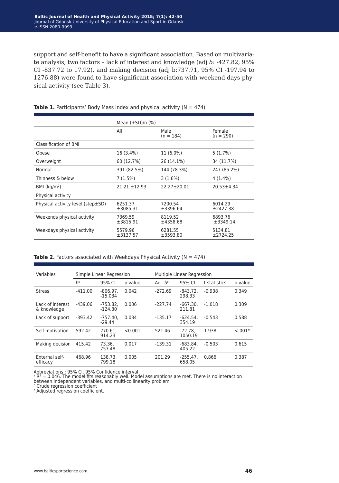support and self-benefit to have a significant association. Based on multivariate analysis, two factors – lack of interest and knowledge (adj *b*: -427.82, 95% CI -837.72 to 17.92), and making decision (adj b:737.71, 95% CI -197.94 to 1276.88) were found to have significant association with weekend days physical activity (see Table 3).

|                                   | Mean $(+SD)/n$ $(\%)$ |                     |                       |  |
|-----------------------------------|-----------------------|---------------------|-----------------------|--|
|                                   | All                   | Male<br>$(n = 184)$ | Female<br>$(n = 290)$ |  |
| Classification of BMI             |                       |                     |                       |  |
| Obese                             | 16 (3.4%)             | 11 (6.0%)           | 5(1.7%)               |  |
| Overweight                        | 60 (12.7%)            | 26 (14.1%)          | 34 (11.7%)            |  |
| Normal                            | 391 (82.5%)           | 144 (78.3%)         | 247 (85.2%)           |  |
| Thinness & below                  | 7 (1.5%)              | $3(1.6\%)$          | $4(1.4\%)$            |  |
| BMI ( $kg/m2$ )                   | $21.21 \pm 12.93$     | $22.27 \pm 20.01$   | $20.53 \pm 4.34$      |  |
| Physical activity                 |                       |                     |                       |  |
| Physical activity level (step±SD) | 6251.37<br>±3085.31   | 7200.54<br>±3396.64 | 6014.29<br>±2427.38   |  |
| Weekends physical activity        | 7369.59<br>±3815.91   | 8119.52<br>±4358.68 | 6893.76<br>±3349.14   |  |
| Weekdays physical activity        | 5579.96<br>±3137.57   | 6281.55<br>±3593.80 | 5134.81<br>±2724.25   |  |

**Table 1.** Participants' Body Mass Index and physical activity (N = 474)

**Table 2.** Factors associated with Weekdays Physical Activity ( $N = 474$ )

| Variables                       | Simple Linear Regression |                         |         | Multiple Linear Regression |                      |              |          |
|---------------------------------|--------------------------|-------------------------|---------|----------------------------|----------------------|--------------|----------|
|                                 | $h^b$                    | 95% CI                  | p value | Adj. $b^c$                 | 95% CI               | t statistics | p value  |
| <b>Stress</b>                   | $-411.00$                | $-806.97$<br>$-15.034$  | 0.042   | $-272.69$                  | $-843.72.$<br>298.33 | $-0.938$     | 0.349    |
| Lack of interest<br>& knowledge | $-439.06$                | $-753.82.$<br>$-124.30$ | 0.006   | $-227.74$                  | $-667.30.$<br>211.81 | $-1.018$     | 0.309    |
| Lack of support                 | $-393.42$                | $-757.40.$<br>$-29.44$  | 0.034   | $-135.17$                  | $-624.54.$<br>354.19 | $-0.543$     | 0.588    |
| Self-motivation                 | 592.42                   | 270.61.<br>914.23       | < 0.001 | 521.46                     | $-72.78.$<br>1050.19 | 1.938        | $-.001*$ |
| Making decision                 | 415.42                   | 73.36.<br>757.48        | 0.017   | $-139.31$                  | $-683.84.$<br>405.22 | $-0.503$     | 0.615    |
| External self-<br>efficacy      | 468.96                   | 138.73.<br>799.18       | 0.005   | 201.29                     | $-255.47.$<br>658.05 | 0.866        | 0.387    |

Abbreviations : 95% CI, 95% Confidence interval a R2 = 0.046. The model fits reasonably well. Model assumptions are met. There is no interaction between independent variables, and multi-collinearity problem.

**b** Crude regression coefficient

c Adjusted regression coefficient.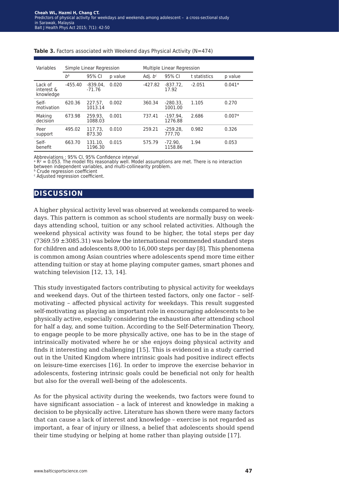| Variables                          | Simple Linear Regression |                        |         | Multiple Linear Regression |                       |              |          |
|------------------------------------|--------------------------|------------------------|---------|----------------------------|-----------------------|--------------|----------|
|                                    | $b^b$                    | 95% CI                 | p value | Adj. $b^c$                 | 95% CI                | t statistics | p value  |
| Lack of<br>interest &<br>knowledge | $-455.40$                | $-839.04.$<br>$-71.76$ | 0.020   | $-427.82$                  | $-837.72$<br>17.92    | $-2.051$     | $0.041*$ |
| Self-<br>motivation                | 620.36                   | 227.57.<br>1013.14     | 0.002   | 360.34                     | $-280.33,$<br>1001.00 | 1.105        | 0.270    |
| Making<br>decision                 | 673.98                   | 259.93.<br>1088.03     | 0.001   | 737.41                     | $-197.94.$<br>1276.88 | 2.686        | $0.007*$ |
| Peer<br>support                    | 495.02                   | 117.73.<br>873.30      | 0.010   | 259.21                     | $-259.28.$<br>777.70  | 0.982        | 0.326    |
| Self-<br>benefit                   | 663.70                   | 131.10.<br>1196.30     | 0.015   | 575.79                     | $-72.90.$<br>1158.86  | 1.94         | 0.053    |

#### Table 3. Factors associated with Weekend days Physical Activity (N=474)

Abbreviations : 95% CI, 95% Confidence interval

 $a R<sup>2</sup> = 0.053$ . The model fits reasonably well. Model assumptions are met. There is no interaction between independent variables, and multi-collinearity problem.

**b** Crude regression coefficient

c Adjusted regression coefficient.

### **discussion**

A higher physical activity level was observed at weekends compared to weekdays. This pattern is common as school students are normally busy on weekdays attending school, tuition or any school related activities. Although the weekend physical activity was found to be higher, the total steps per day (7369.59 ±3085.31) was below the international recommended standard steps for children and adolescents 8,000 to 16,000 steps per day [8]. This phenomena is common among Asian countries where adolescents spend more time either attending tuition or stay at home playing computer games, smart phones and watching television [12, 13, 14].

This study investigated factors contributing to physical activity for weekdays and weekend days. Out of the thirteen tested factors, only one factor – selfmotivating – affected physical activity for weekdays. This result suggested self-motivating as playing an important role in encouraging adolescents to be physically active, especially considering the exhaustion after attending school for half a day, and some tuition. According to the Self-Determination Theory, to engage people to be more physically active, one has to be in the stage of intrinsically motivated where he or she enjoys doing physical activity and finds it interesting and challenging [15]. This is evidenced in a study carried out in the United Kingdom where intrinsic goals had positive indirect effects on leisure-time exercises [16]. In order to improve the exercise behavior in adolescents, fostering intrinsic goals could be beneficial not only for health but also for the overall well-being of the adolescents.

As for the physical activity during the weekends, two factors were found to have significant association – a lack of interest and knowledge in making a decision to be physically active. Literature has shown there were many factors that can cause a lack of interest and knowledge – exercise is not regarded as important, a fear of injury or illness, a belief that adolescents should spend their time studying or helping at home rather than playing outside [17].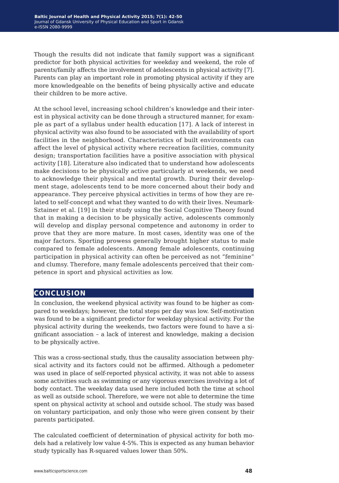Though the results did not indicate that family support was a significant predictor for both physical activities for weekday and weekend, the role of parents/family affects the involvement of adolescents in physical activity [7]. Parents can play an important role in promoting physical activity if they are more knowledgeable on the benefits of being physically active and educate their children to be more active.

At the school level, increasing school children's knowledge and their interest in physical activity can be done through a structured manner, for example as part of a syllabus under health education [17]. A lack of interest in physical activity was also found to be associated with the availability of sport facilities in the neighborhood. Characteristics of built environments can affect the level of physical activity where recreation facilities, community design; transportation facilities have a positive association with physical activity [18]. Literature also indicated that to understand how adolescents make decisions to be physically active particularly at weekends, we need to acknowledge their physical and mental growth. During their development stage, adolescents tend to be more concerned about their body and appearance. They perceive physical activities in terms of how they are related to self-concept and what they wanted to do with their lives. Neumark-Sztainer et al. [19] in their study using the Social Cognitive Theory found that in making a decision to be physically active, adolescents commonly will develop and display personal competence and autonomy in order to prove that they are more mature. In most cases, identity was one of the major factors. Sporting prowess generally brought higher status to male compared to female adolescents. Among female adolescents, continuing participation in physical activity can often be perceived as not "feminine" and clumsy. Therefore, many female adolescents perceived that their competence in sport and physical activities as low.

## **conclusion**

In conclusion, the weekend physical activity was found to be higher as compared to weekdays; however, the total steps per day was low. Self-motivation was found to be a significant predictor for weekday physical activity. For the physical activity during the weekends, two factors were found to have a significant association – a lack of interest and knowledge, making a decision to be physically active.

This was a cross-sectional study, thus the causality association between physical activity and its factors could not be affirmed. Although a pedometer was used in place of self-reported physical activity, it was not able to assess some activities such as swimming or any vigorous exercises involving a lot of body contact. The weekday data used here included both the time at school as well as outside school. Therefore, we were not able to determine the time spent on physical activity at school and outside school. The study was based on voluntary participation, and only those who were given consent by their parents participated.

The calculated coefficient of determination of physical activity for both models had a relatively low value 4-5%. This is expected as any human behavior study typically has R-squared values lower than 50%.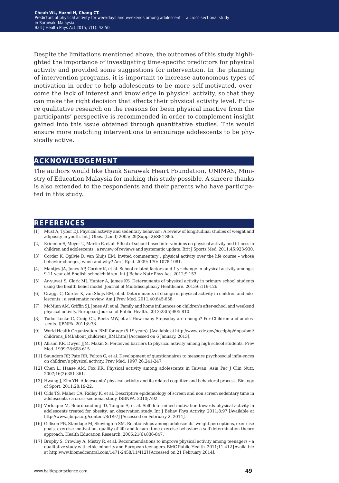Despite the limitations mentioned above, the outcomes of this study highlighted the importance of investigating time-specific predictors for physical activity and provided some suggestions for intervention. In the planning of intervention programs, it is important to increase autonomous types of motivation in order to help adolescents to be more self-motivated, overcome the lack of interest and knowledge in physical activity, so that they can make the right decision that affects their physical activity level. Future qualitative research on the reasons for been physical inactive from the participants' perspective is recommended in order to complement insight gained into this issue obtained through quantitative studies. This would ensure more matching interventions to encourage adolescents to be physically active.

#### **acknowledgement**

The authors would like thank Sarawak Heart Foundation, UNIMAS, Ministry of Education Malaysia for making this study possible. A sincere thanks is also extended to the respondents and their parents who have participated in this study.

#### **references**

- [1] Must A, Tybor DJ. Physical activity and sedentary behavior : A review of longitudinal studies of weight and adiposity in youth. Int J Obes. (Lond) 2005; 29(Suppl 2):S84-S96.
- [2] Kriemler S, Meyer U, Martin E, et al. Effect of school-based interventions on physical activity and fit-ness in children and adolescents : a review of reviews and systematic update. Brit J Sports Med. 2011;45:923-930.
- [3] Corder K, Ogilvie D, van Sluijs EM. Invited commentary : physical activity over the life course whose behavior changes, when and why? Am J Epid. 2009; 170: 1078-1081.
- [4] Mantjes JA, Jones AP, Corder K, et al. School related factors and 1 yr change in physical activity amongst 9-11 year old English schoolchildren. Int J Behav Nutr Phys Act. 2012;9:153.
- [5] Ar-yuwat S, Clark MJ, Hunter A, James KS. Determinants of physical activity in primary school students using the health belief model. Journal of Multidisciplinary Healthcare. 2013;6:119-126.
- [6] Craggs C, Corder K, van Sluijs EM, et al. Determinants of change in physical activity in children and adolescents : a systematic review. Am J Prev Med. 2011;40:645-658.
- [7] McMinn AM, Griffin SJ, Jones AP, et al. Family and home influences on children's after-school and weekend physical activity. European Journal of Public Health. 2012;23(5):805-810.
- [8] Tudor-Locke C, Craig CL, Beets MW, et al. How many Steps/day are enough? For Children and adoles- -cents. IJBNPA. 2011;8:78.
- [9] World Health Organization. BMI-for-age (5-19 years). [Available at http://www. cdc.gov/nccdphp/dnpa/bmi/ childrens\_BMI/about\_childrens\_BMI.htm] [Accessed on 6 January, 2013].
- [10] Allison KR, Dwyer JJM, Makin S. Perceived barriers to physical activity among high school students. Prev Med. 1999;28:608-615.
- [11] Saunders RP, Pate RR, Felton G, et al. Development of questionnaires to measure psychosocial influ-ences on children's physical activity. Prev Med. 1997;26:241-247.
- [12] Chen L, Haase AM, Fox KR. Physical activity among adolescents in Taiwan. Asia Pac J Clin Nutr. 2007;16(2):351-361.
- [13] Hwang J, Kim YH. Adolescents' physical activity and its related cognitive and behavioral process. Biol-ogy of Sport. 2011;28:19-22.
- [14] Olds TS, Maher CA, Ridley K, et al. Descriptive epidemiology of screen and non screen sedentary time in adolescents : a cross-sectional study. ISBNPA. 2010;7:92.
- [15] Verloigne M, Bourdeaudhuij ID, Tanghe A, et al. Self-determined motivation towards physical activity in adolescents treated for obesity: an observation study. Int J Behav Phys Activity. 2011;8:97 [Available at http://www.ijbnpa.org/content/8/1/97] [Accessed on February 2, 2014].
- [16] Gillison FB, Standage M, Skevington SM. Relationships among adolescents' weight perceptions, exer-cise goals, exercise motivation, quality of life and leisure-time exercise behavior: a self-determination theory approach. Health Education Research. 2006;21(6):836-847.
- [17] Brophy S, Crowley A, Mistry R, et al. Recommendations to improve physical activity among teenagers a qualitative study with ethic minority and European teenagers. BMC Public Health. 2011;11:412 [Availa-ble at http:www.biomedcentral.com/1471-2458/11/412] [Accessed on 21 February 2014].